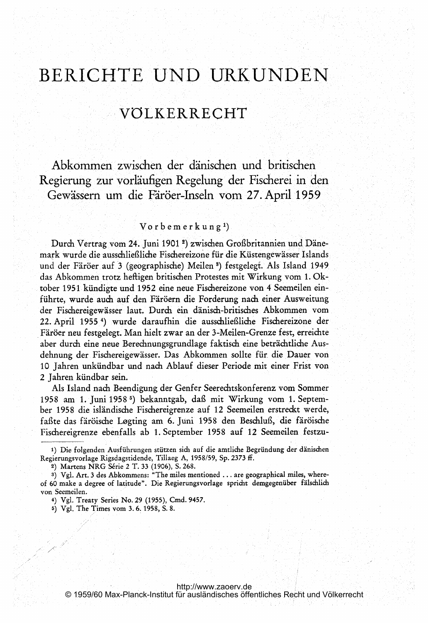# BERICHTE UND URKUNDEN

# VÖLKERRECHT

Abkommen zwischen der dänischen und britischen Regierung zur vorläufigen Regelung der Fischerei in den Gewässern um die Färöer-Inseln vom 27. April <sup>1959</sup>

### $V$ orbemerkung<sup>1</sup>)

Durch Vertrag vom 24. Juni <sup>1901</sup> 2) zwischen Großbritannien und Dänemark wurde die ausschließliche Fischereizone für die Küstengewässer Islands und der Färöer auf <sup>3</sup> (geographische) Meilen 3) festgelegt. Als Island 1949. das Abkommen trotz heftigen britischen Protestes mit Wirkung vom 1. Oktober 1951 kündigte und 1952 eine neue Fischereizone von 4 Seemeilen einführte, wurde auch auf den Färöern die Forderung nach einer Ausweitung der Fischereigewässer laut. Durch ein dänisch-britisches Abkommen vom 22. April 1955<sup>4</sup>) wurde daraufhin die ausschließliche Fischereizone der Färöer neu festgelegt. Man hielt zwar an der 3-Meilen-Grenze fest, erreichte aber durch eine neue Berechnungsgrundlage faktisch eine beträchtliche Ausdehnung der Fischereigewässer. Das Abkommen sollte für die Dauer von 10 Jahren unkündbar und nach Ablauf dieser Periode mit, einer Frist von 2 Jahren kündbar sein.

Als Island nach Beendigung der Genfer Seerechtskonferenz vom Sommer <sup>1958</sup> am 1. Juni 1958 5) bekanntgab, daß mit Wirkung vom 1. September 1958 die isländische Fischereigrenze auf 12 Seemeilen erstreckt Werde, faßte das färöische Logting am 6. Juni 1958 den Beschluß, die färöische Fischereigrenze ebenfalls ab 1. September 1958 auf 12 Seemeilen festzu-

2) Martens NRG Série 2 T. 33 (1906), S. 268.

<sup>1)</sup> Die folgenden Ausführungen stützen sich auf die amtliche Begründung der dänischen Regierungsvorlage Rigsdagstidende, Tillaeg A, 1958/59, Sp. 2373 ff.

<sup>3)</sup> Vgl. Art. 3 des Abkommens: "The miles mentioned . . . are geographical miles, whereof 60 make <sup>a</sup> degree of latitude". Die Regierungsvorlage spricht demgegenüber fälschlich von Seemeilen.

<sup>4)</sup> Vgl. Treaty Series No. 29 (1955), Cmd. 9457.

<sup>5)</sup> Vgl. The Tirnes vom 3. 6. <sup>195</sup> 8, S. 8.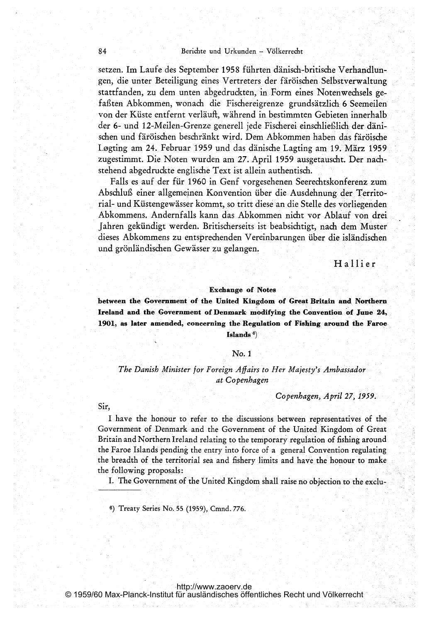setzen. Im Laufe des September 1958 führten dänisch-britische Verhandlungen, die unter Beteiligung eines Vertreters der färöischen Selbstverwaltung stattfanden, zu dem unten abgedruckten, in Form eines Notenwechsels gefaßten Abkommen, wonach die Fischereigrenze grundsätzlich 6 Seemeilen von der Küste entfernt verläuft, während in bestimmten Gebieten innerhalb der 6- und 12-Meilen-Grenze generell jede Fischerei einschlief)lich der dänischen und färöischen beschränkt wird. Dem Abkommen haben das färöische Logting am 24. Februar 1959 und dasldänische Lagting am 19. März 1959 zugestimmt. Die Noten wurden am 27. April 1959 ausgetauscht. Der nachstehend abgedruckte englische Text ist allein authentisch.

Falls es auf der für 1960 in Genf vorgesehenen Seerechtskonferenz zum Abschluß einer allgemeinen Konvention über die Ausdehnung der Territorial- und Küstengewässer kommt, so tritt diese an die Stelle des vorliegenden Abkommens. Andernfalls kann das Abkommen nicht vor Ablauf von drei. Jahren gekündigt werden. Britischerseits ist beabsichtigt, nach dem Muster dieses Abkommens zu entsprechenden Vereinbarungen über die isländischen und grönländischen Gewässer zu gelangen.

Hallier

#### Exchange of Notes

between the Government of the United Kingdom of Great Britain and Northern Ireland and the Government of Denmark modifying the Convention of June 24,, 1901, as later amended, concerning the Regulation of Fishing around the Faroe Islands<sup>6</sup>)

#### No. <sup>1</sup>

The Danish Minister for Foreign Affairs to Her Majesty's Ambassador at Copenhagen

Copenhagen, April 27, 1959.

Sir,

<sup>I</sup> have the honour to refer to. the discussions between representatives of the Government of Denmark and the Government of the United.Kingdom of Great Britain and Northern Ireland relating to the temporary regulation of fishing around the Faroe Islands pending the entry into force of a general Convention regulating the breadth of the territorial sea and fishery limits and have, the honour to make the following proposals:

I. The Government of the United Kingdom shall raise no objection to the exclu-

6) Treaty Series No. <sup>55</sup> (1959), Cmnd. 776.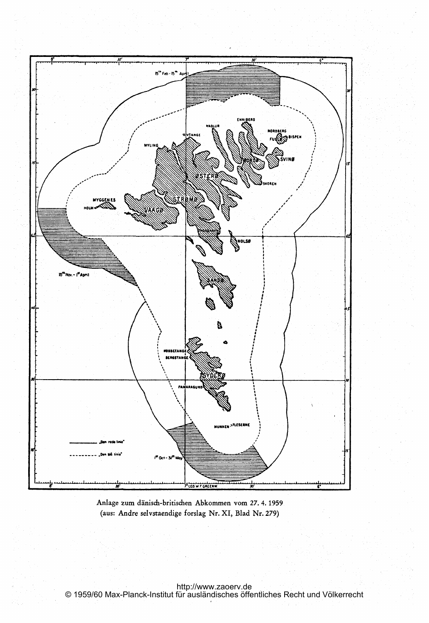

Anlage zum dänisch-britischen Abkommen vom 27. 4. 1959 (aus: Andre selvstaendige forslag Nr. XI, Blad Nr. 279)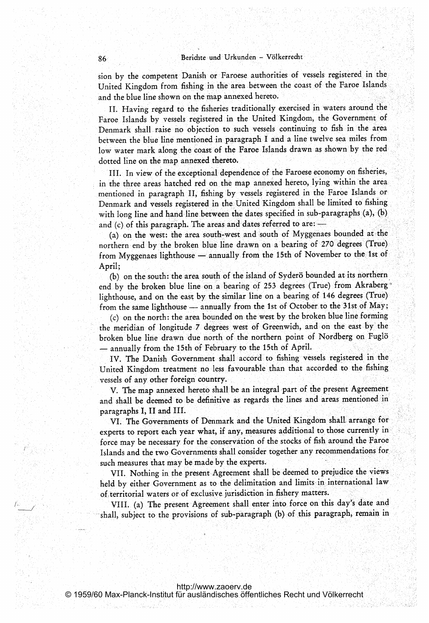sion by the competent Danish or Faroese authorities of vessels registered in the United Kingdom from fishing inthe area between the coast of the Faroe Islands and the blue line shown on the map annexed hereto.

II. Having regard to the fisheries traditionally exercised in waters around the Faroe Islands by vessels registered in the United Kingdom, the Government of Denmark shall raise no objection to such vessels continuing to fish in the area between the blue line mentioned in paragraph <sup>I</sup> and <sup>a</sup> line twelve sea miles from low water mark along the coast of the Faroe Islands drawn as shown by the red dotted line on the map annexed thereto.

III. In view of the exceptional dependence of the Faroese economy on fisheries, in the three areas hatched red on the map annexed hereto, lying within the area. mentioned in paragraph II, fishing by vessels registered in the Faroe Islands or Denmark and vessels registered in the United Kingdom shall be limited to fishing with long line and hand line between the dates specified in sub-paragraphs  $(a)$ ,  $(b)$ and (c) of this paragraph. The areas and dates referred to are:  $-$ 

(a) on the west: the area south-west and south of Myggenaes bounded at the northern end by the broken blue line drawn on a bearing of 270 degrees (True) from Myggenaes lighthouse — annually from the 15th of November to the 1st of April;

(b) on the south: the area south of the island of Syderö bounded at its northern end by the broken blue line on <sup>a</sup> bearing of <sup>253</sup> degrees (True) from Akraberglighthouse, and on the east by the similar line on <sup>a</sup> bearing of 146 degrees (True) from the same lighthouse - annually from the 1st of October to the 31st of May;

(c) on the north: the area bounded on the west by the broken blue line forming the meridian of longitude 7 degrees west of Greenwich, and on the east by the broken blue line drawn due north of the northern point of Nordberg on Fug18 annually from the 15th of February to the 15th of April.

IV. The Danish Government shall accord to fishing vessels registered in the United Kingdom, treatment no less favourable than that accorded to the fishing vessels of any other foreign country.

V. The map annexed hereto shall be an integral part of the present Agreement and shall be deemed to be definitive as regards the lines and areas mentioned in paragraphs I, II and III.

VI. The Governments of Denmark and the United Kingdom shall. arrange for experts to report each year what, if any, measures additional to those currently in force may be necessary for the conservation of the stocks of fish around the Faroe Islands and the two Governments shall consider together any recommendations for, such measures that may be made by the experts.

VII. Nothing in the present Agreement shall be deemed to prejudice the views held by either Government as to the delimitation and limits in international law of territorial waters or of exclusive jurisdiction in fishery matters.

VIII. (a) The present Agreement shall enter into force on this day's date and shall, subject to the provisions of sub-paragraph (b) of this paragraph, remain in